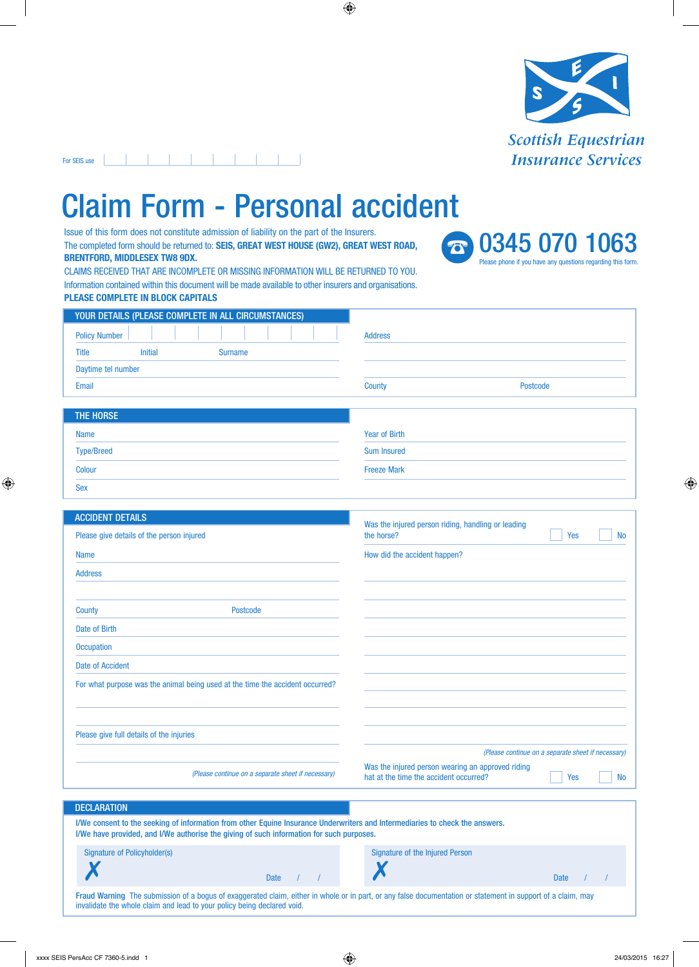

 $-1$   $-1$   $-1$   $-1$   $-1$ For SEIS use

Date of Birth

## Claim Form - Personal accident

Issue of this form does not constitute admission of liability on the part of the Insurers. The completed form should be returned to: **SEIS, GREAT WEST HOUSE (GW2), GREAT WEST ROAD, BRENTFORD, MIDDLESEX TW8 9DX.**



CLAIMS RECEIVED THAT ARE INCOMPLETE OR MISSING INFORMATION WILL BE RETURNED TO YOU. Information contained within this document will be made available to other insurers and organisations. **PLEASE COMPLETE IN BLOCK CAPITALS**

| YOUR DETAILS (PLEASE COMPLETE IN ALL CIRCUMSTANCES) |                           |
|-----------------------------------------------------|---------------------------|
| <b>Policy Number</b>                                | <b>Address</b>            |
| <b>Initial</b><br>Title<br><b>Surname</b>           |                           |
| Daytime tel number                                  |                           |
| Email                                               | County<br><b>Postcode</b> |
|                                                     |                           |
| THE HORSE                                           |                           |
| <b>Name</b>                                         | <b>Year of Birth</b>      |
| <b>Type/Breed</b>                                   | <b>Sum Insured</b>        |

| <b>Colour</b>                             |                 | <b>Freeze Mark</b>                                                                   |  |  |  |  |
|-------------------------------------------|-----------------|--------------------------------------------------------------------------------------|--|--|--|--|
| <b>Sex</b>                                |                 |                                                                                      |  |  |  |  |
| <b>ACCIDENT DETAILS</b>                   |                 |                                                                                      |  |  |  |  |
| Please give details of the person injured |                 | Was the injured person riding, handling or leading<br>the horse?<br>Yes<br><b>No</b> |  |  |  |  |
| <b>Name</b>                               |                 | How did the accident happen?                                                         |  |  |  |  |
| <b>Address</b>                            |                 |                                                                                      |  |  |  |  |
|                                           |                 |                                                                                      |  |  |  |  |
| <b>County</b>                             | <b>Postcode</b> |                                                                                      |  |  |  |  |

**Occupation** Date of Accident For what purpose was the animal being used at the time the accident occurred? Please give full details of the injuries *(Please continue on a separate sheet if necessary) (Please continue on a separate sheet if necessary)* Was the injured person wearing an approved riding hat at the time the accident occurred? **DECLARATION** I/We consent to the seeking of information from other Equine Insurance Underwriters and Intermediaries to check the answers. I/We have provided, and I/We authorise the giving of such information for such purposes. Yes No

| Signature of Policyholder(s)                                            | Date / / |  | Date: | Signature of the Injured Person                                                                                                                              |  |
|-------------------------------------------------------------------------|----------|--|-------|--------------------------------------------------------------------------------------------------------------------------------------------------------------|--|
| invalidate the whole claim and lead to your policy being declared void. |          |  |       | Fraud Warning The submission of a bogus of exaggerated claim, either in whole or in part, or any false documentation or statement in support of a claim, may |  |